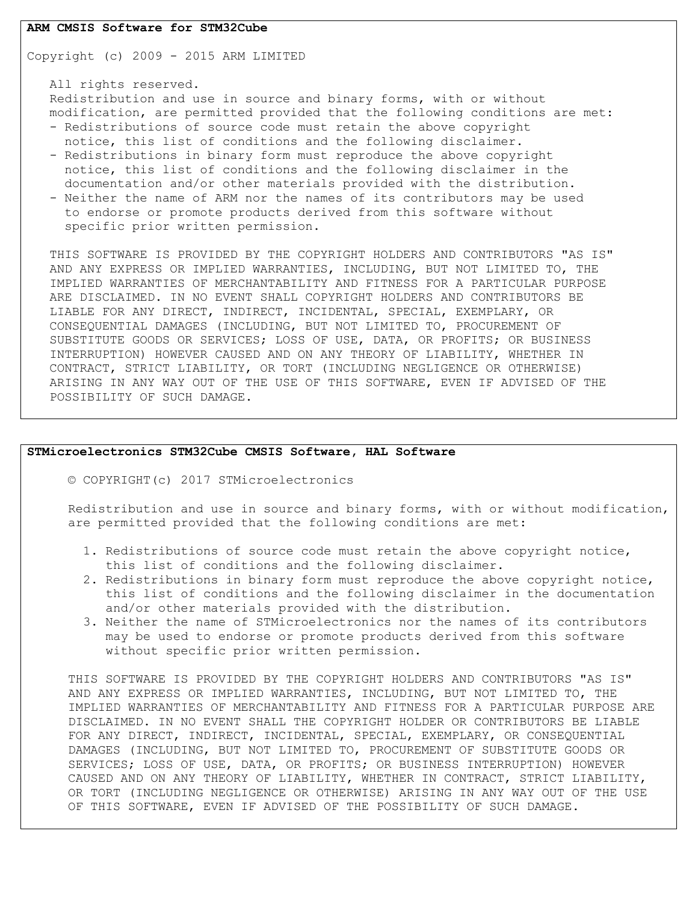#### **ARM CMSIS Software for STM32Cube**

Copyright (c) 2009 - 2015 ARM LIMITED

 All rights reserved. Redistribution and use in source and binary forms, with or without modification, are permitted provided that the following conditions are met: - Redistributions of source code must retain the above copyright notice, this list of conditions and the following disclaimer.

- Redistributions in binary form must reproduce the above copyright notice, this list of conditions and the following disclaimer in the documentation and/or other materials provided with the distribution.
- Neither the name of ARM nor the names of its contributors may be used to endorse or promote products derived from this software without specific prior written permission.

 THIS SOFTWARE IS PROVIDED BY THE COPYRIGHT HOLDERS AND CONTRIBUTORS "AS IS" AND ANY EXPRESS OR IMPLIED WARRANTIES, INCLUDING, BUT NOT LIMITED TO, THE IMPLIED WARRANTIES OF MERCHANTABILITY AND FITNESS FOR A PARTICULAR PURPOSE ARE DISCLAIMED. IN NO EVENT SHALL COPYRIGHT HOLDERS AND CONTRIBUTORS BE LIABLE FOR ANY DIRECT, INDIRECT, INCIDENTAL, SPECIAL, EXEMPLARY, OR CONSEQUENTIAL DAMAGES (INCLUDING, BUT NOT LIMITED TO, PROCUREMENT OF SUBSTITUTE GOODS OR SERVICES; LOSS OF USE, DATA, OR PROFITS; OR BUSINESS INTERRUPTION) HOWEVER CAUSED AND ON ANY THEORY OF LIABILITY, WHETHER IN CONTRACT, STRICT LIABILITY, OR TORT (INCLUDING NEGLIGENCE OR OTHERWISE) ARISING IN ANY WAY OUT OF THE USE OF THIS SOFTWARE, EVEN IF ADVISED OF THE POSSIBILITY OF SUCH DAMAGE.

## **STMicroelectronics STM32Cube CMSIS Software, HAL Software**

© COPYRIGHT(c) 2017 STMicroelectronics

Redistribution and use in source and binary forms, with or without modification, are permitted provided that the following conditions are met:

- 1. Redistributions of source code must retain the above copyright notice, this list of conditions and the following disclaimer.
- 2. Redistributions in binary form must reproduce the above copyright notice, this list of conditions and the following disclaimer in the documentation and/or other materials provided with the distribution.
- 3. Neither the name of STMicroelectronics nor the names of its contributors may be used to endorse or promote products derived from this software without specific prior written permission.

THIS SOFTWARE IS PROVIDED BY THE COPYRIGHT HOLDERS AND CONTRIBUTORS "AS IS" AND ANY EXPRESS OR IMPLIED WARRANTIES, INCLUDING, BUT NOT LIMITED TO, THE IMPLIED WARRANTIES OF MERCHANTABILITY AND FITNESS FOR A PARTICULAR PURPOSE ARE DISCLAIMED. IN NO EVENT SHALL THE COPYRIGHT HOLDER OR CONTRIBUTORS BE LIABLE FOR ANY DIRECT, INDIRECT, INCIDENTAL, SPECIAL, EXEMPLARY, OR CONSEQUENTIAL DAMAGES (INCLUDING, BUT NOT LIMITED TO, PROCUREMENT OF SUBSTITUTE GOODS OR SERVICES; LOSS OF USE, DATA, OR PROFITS; OR BUSINESS INTERRUPTION) HOWEVER CAUSED AND ON ANY THEORY OF LIABILITY, WHETHER IN CONTRACT, STRICT LIABILITY, OR TORT (INCLUDING NEGLIGENCE OR OTHERWISE) ARISING IN ANY WAY OUT OF THE USE OF THIS SOFTWARE, EVEN IF ADVISED OF THE POSSIBILITY OF SUCH DAMAGE.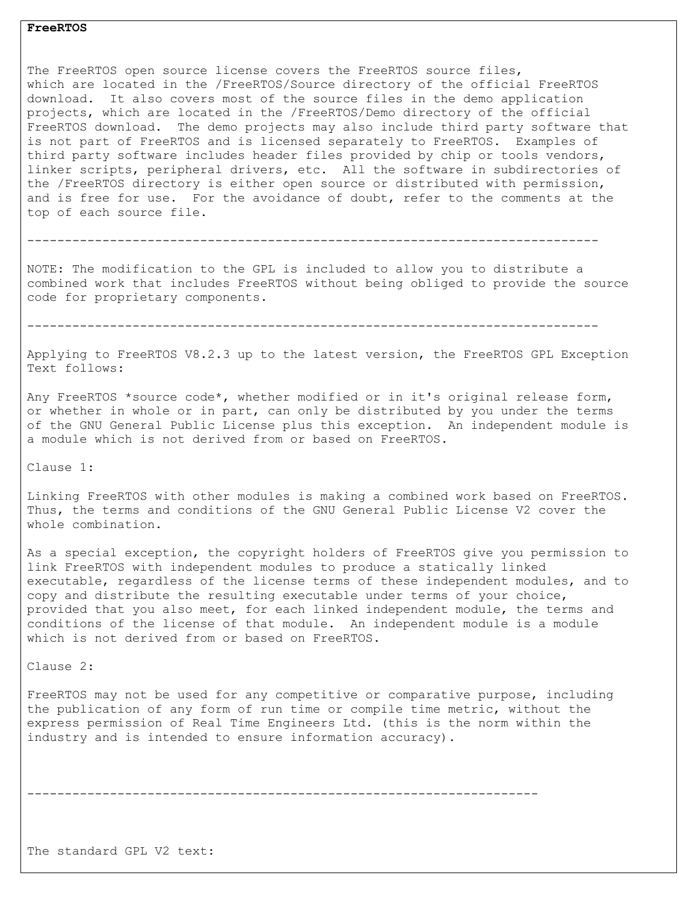## **FreeRTOS**

The FreeRTOS open source license covers the FreeRTOS source files, which are located in the /FreeRTOS/Source directory of the official FreeRTOS download. It also covers most of the source files in the demo application projects, which are located in the /FreeRTOS/Demo directory of the official FreeRTOS download. The demo projects may also include third party software that is not part of FreeRTOS and is licensed separately to FreeRTOS. Examples of third party software includes header files provided by chip or tools vendors, linker scripts, peripheral drivers, etc. All the software in subdirectories of the /FreeRTOS directory is either open source or distributed with permission, and is free for use. For the avoidance of doubt, refer to the comments at the top of each source file.

----------------------------------------------------------------------------

NOTE: The modification to the GPL is included to allow you to distribute a combined work that includes FreeRTOS without being obliged to provide the source code for proprietary components.

----------------------------------------------------------------------------

Applying to FreeRTOS V8.2.3 up to the latest version, the FreeRTOS GPL Exception Text follows:

Any FreeRTOS \*source code\*, whether modified or in it's original release form, or whether in whole or in part, can only be distributed by you under the terms of the GNU General Public License plus this exception. An independent module is a module which is not derived from or based on FreeRTOS.

Clause 1:

Linking FreeRTOS with other modules is making a combined work based on FreeRTOS. Thus, the terms and conditions of the GNU General Public License V2 cover the whole combination.

As a special exception, the copyright holders of FreeRTOS give you permission to link FreeRTOS with independent modules to produce a statically linked executable, regardless of the license terms of these independent modules, and to copy and distribute the resulting executable under terms of your choice, provided that you also meet, for each linked independent module, the terms and conditions of the license of that module. An independent module is a module which is not derived from or based on FreeRTOS.

Clause 2:

FreeRTOS may not be used for any competitive or comparative purpose, including the publication of any form of run time or compile time metric, without the express permission of Real Time Engineers Ltd. (this is the norm within the industry and is intended to ensure information accuracy).

--------------------------------------------------------------------

The standard GPL V2 text: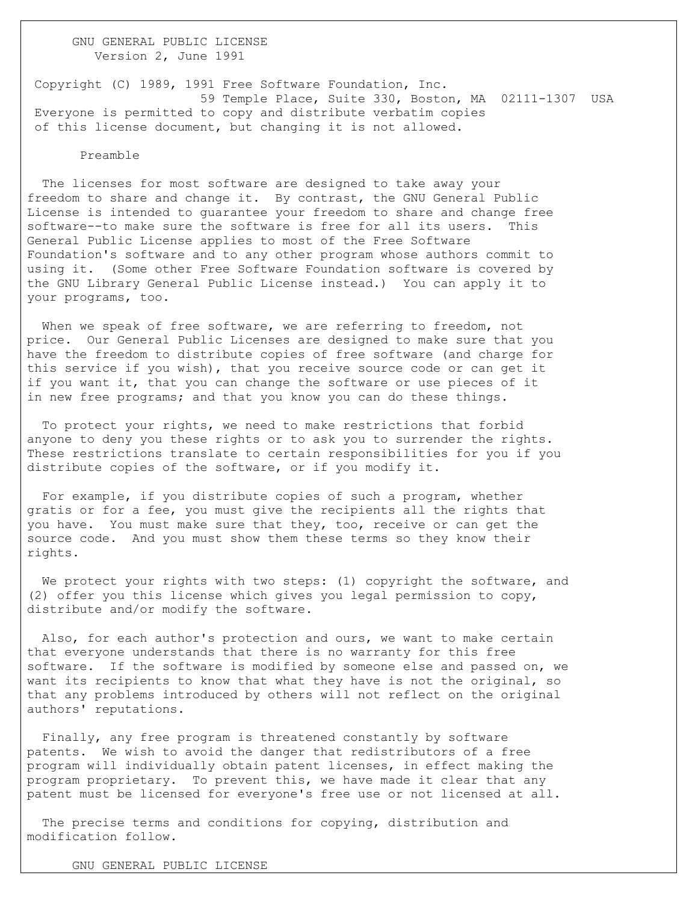GNU GENERAL PUBLIC LICENSE Version 2, June 1991

Copyright (C) 1989, 1991 Free Software Foundation, Inc. 59 Temple Place, Suite 330, Boston, MA 02111-1307 USA Everyone is permitted to copy and distribute verbatim copies of this license document, but changing it is not allowed.

#### Preamble

 The licenses for most software are designed to take away your freedom to share and change it. By contrast, the GNU General Public License is intended to guarantee your freedom to share and change free software--to make sure the software is free for all its users. This General Public License applies to most of the Free Software Foundation's software and to any other program whose authors commit to using it. (Some other Free Software Foundation software is covered by the GNU Library General Public License instead.) You can apply it to your programs, too.

When we speak of free software, we are referring to freedom, not price. Our General Public Licenses are designed to make sure that you have the freedom to distribute copies of free software (and charge for this service if you wish), that you receive source code or can get it if you want it, that you can change the software or use pieces of it in new free programs; and that you know you can do these things.

 To protect your rights, we need to make restrictions that forbid anyone to deny you these rights or to ask you to surrender the rights. These restrictions translate to certain responsibilities for you if you distribute copies of the software, or if you modify it.

 For example, if you distribute copies of such a program, whether gratis or for a fee, you must give the recipients all the rights that you have. You must make sure that they, too, receive or can get the source code. And you must show them these terms so they know their rights.

We protect your rights with two steps: (1) copyright the software, and (2) offer you this license which gives you legal permission to copy, distribute and/or modify the software.

 Also, for each author's protection and ours, we want to make certain that everyone understands that there is no warranty for this free software. If the software is modified by someone else and passed on, we want its recipients to know that what they have is not the original, so that any problems introduced by others will not reflect on the original authors' reputations.

 Finally, any free program is threatened constantly by software patents. We wish to avoid the danger that redistributors of a free program will individually obtain patent licenses, in effect making the program proprietary. To prevent this, we have made it clear that any patent must be licensed for everyone's free use or not licensed at all.

 The precise terms and conditions for copying, distribution and modification follow.

GNU GENERAL PUBLIC LICENSE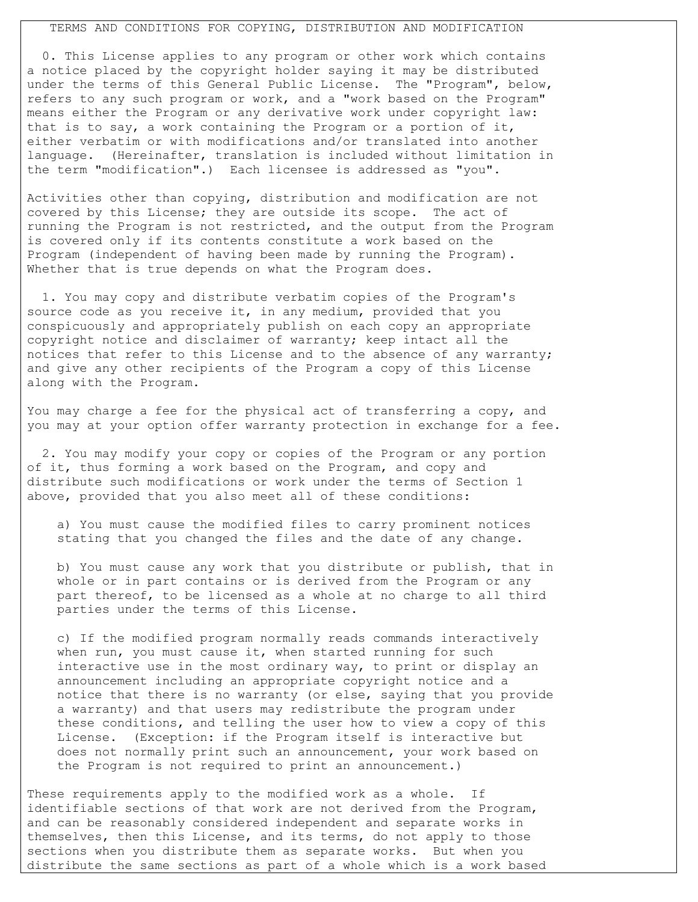## TERMS AND CONDITIONS FOR COPYING, DISTRIBUTION AND MODIFICATION

 0. This License applies to any program or other work which contains a notice placed by the copyright holder saying it may be distributed under the terms of this General Public License. The "Program", below, refers to any such program or work, and a "work based on the Program" means either the Program or any derivative work under copyright law: that is to say, a work containing the Program or a portion of it, either verbatim or with modifications and/or translated into another language. (Hereinafter, translation is included without limitation in the term "modification".) Each licensee is addressed as "you".

Activities other than copying, distribution and modification are not covered by this License; they are outside its scope. The act of running the Program is not restricted, and the output from the Program is covered only if its contents constitute a work based on the Program (independent of having been made by running the Program). Whether that is true depends on what the Program does.

 1. You may copy and distribute verbatim copies of the Program's source code as you receive it, in any medium, provided that you conspicuously and appropriately publish on each copy an appropriate copyright notice and disclaimer of warranty; keep intact all the notices that refer to this License and to the absence of any warranty; and give any other recipients of the Program a copy of this License along with the Program.

You may charge a fee for the physical act of transferring a copy, and you may at your option offer warranty protection in exchange for a fee.

 2. You may modify your copy or copies of the Program or any portion of it, thus forming a work based on the Program, and copy and distribute such modifications or work under the terms of Section 1 above, provided that you also meet all of these conditions:

 a) You must cause the modified files to carry prominent notices stating that you changed the files and the date of any change.

 b) You must cause any work that you distribute or publish, that in whole or in part contains or is derived from the Program or any part thereof, to be licensed as a whole at no charge to all third parties under the terms of this License.

 c) If the modified program normally reads commands interactively when run, you must cause it, when started running for such interactive use in the most ordinary way, to print or display an announcement including an appropriate copyright notice and a notice that there is no warranty (or else, saying that you provide a warranty) and that users may redistribute the program under these conditions, and telling the user how to view a copy of this License. (Exception: if the Program itself is interactive but does not normally print such an announcement, your work based on the Program is not required to print an announcement.)

These requirements apply to the modified work as a whole. If identifiable sections of that work are not derived from the Program, and can be reasonably considered independent and separate works in themselves, then this License, and its terms, do not apply to those sections when you distribute them as separate works. But when you distribute the same sections as part of a whole which is a work based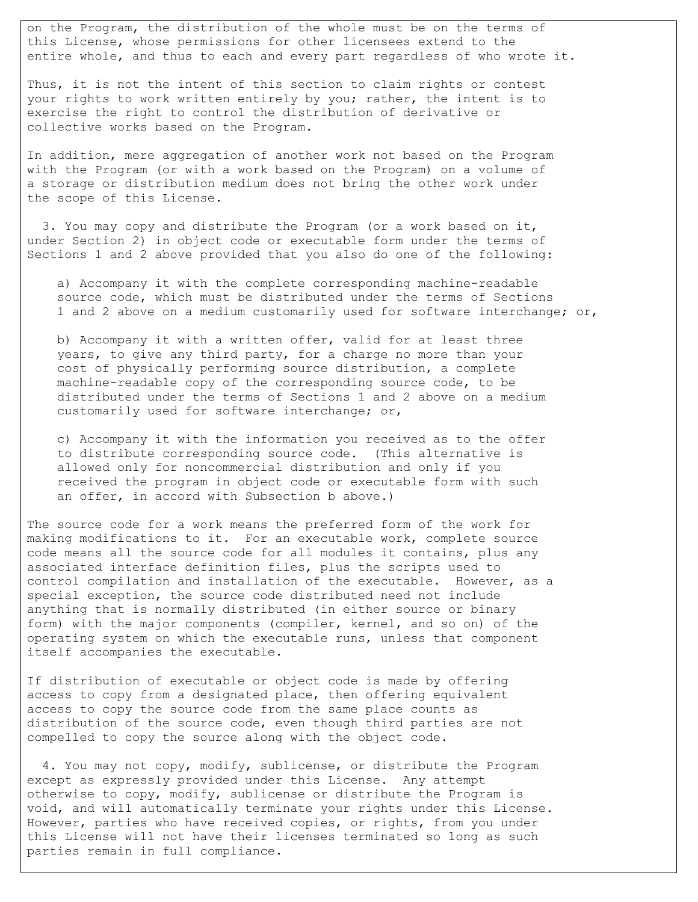on the Program, the distribution of the whole must be on the terms of this License, whose permissions for other licensees extend to the entire whole, and thus to each and every part regardless of who wrote it.

Thus, it is not the intent of this section to claim rights or contest your rights to work written entirely by you; rather, the intent is to exercise the right to control the distribution of derivative or collective works based on the Program.

In addition, mere aggregation of another work not based on the Program with the Program (or with a work based on the Program) on a volume of a storage or distribution medium does not bring the other work under the scope of this License.

 3. You may copy and distribute the Program (or a work based on it, under Section 2) in object code or executable form under the terms of Sections 1 and 2 above provided that you also do one of the following:

 a) Accompany it with the complete corresponding machine-readable source code, which must be distributed under the terms of Sections 1 and 2 above on a medium customarily used for software interchange; or,

 b) Accompany it with a written offer, valid for at least three years, to give any third party, for a charge no more than your cost of physically performing source distribution, a complete machine-readable copy of the corresponding source code, to be distributed under the terms of Sections 1 and 2 above on a medium customarily used for software interchange; or,

 c) Accompany it with the information you received as to the offer to distribute corresponding source code. (This alternative is allowed only for noncommercial distribution and only if you received the program in object code or executable form with such an offer, in accord with Subsection b above.)

The source code for a work means the preferred form of the work for making modifications to it. For an executable work, complete source code means all the source code for all modules it contains, plus any associated interface definition files, plus the scripts used to control compilation and installation of the executable. However, as a special exception, the source code distributed need not include anything that is normally distributed (in either source or binary form) with the major components (compiler, kernel, and so on) of the operating system on which the executable runs, unless that component itself accompanies the executable.

If distribution of executable or object code is made by offering access to copy from a designated place, then offering equivalent access to copy the source code from the same place counts as distribution of the source code, even though third parties are not compelled to copy the source along with the object code.

 4. You may not copy, modify, sublicense, or distribute the Program except as expressly provided under this License. Any attempt otherwise to copy, modify, sublicense or distribute the Program is void, and will automatically terminate your rights under this License. However, parties who have received copies, or rights, from you under this License will not have their licenses terminated so long as such parties remain in full compliance.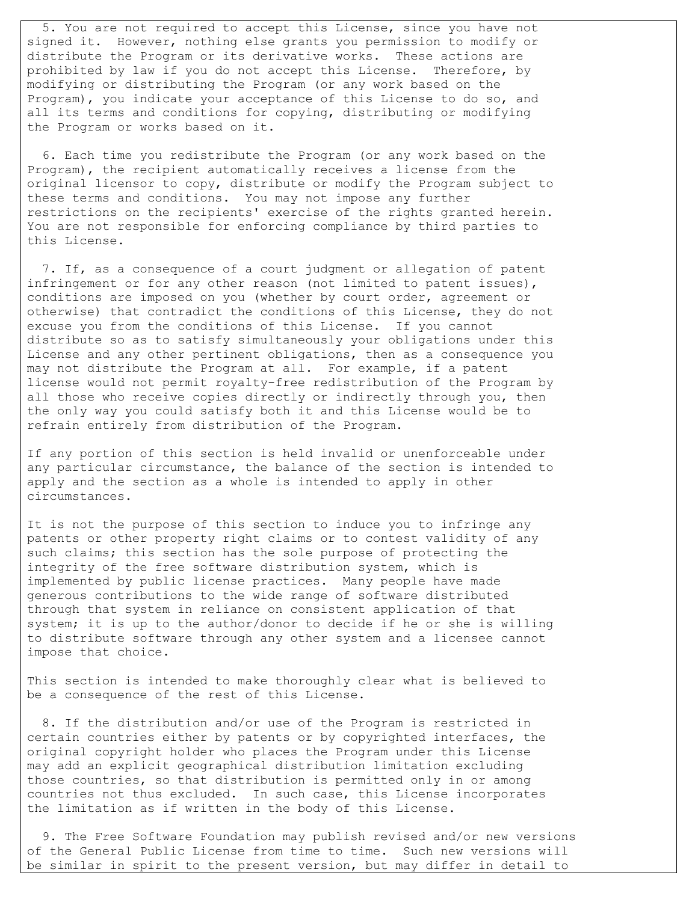5. You are not required to accept this License, since you have not signed it. However, nothing else grants you permission to modify or distribute the Program or its derivative works. These actions are prohibited by law if you do not accept this License. Therefore, by modifying or distributing the Program (or any work based on the Program), you indicate your acceptance of this License to do so, and all its terms and conditions for copying, distributing or modifying the Program or works based on it.

 6. Each time you redistribute the Program (or any work based on the Program), the recipient automatically receives a license from the original licensor to copy, distribute or modify the Program subject to these terms and conditions. You may not impose any further restrictions on the recipients' exercise of the rights granted herein. You are not responsible for enforcing compliance by third parties to this License.

 7. If, as a consequence of a court judgment or allegation of patent infringement or for any other reason (not limited to patent issues), conditions are imposed on you (whether by court order, agreement or otherwise) that contradict the conditions of this License, they do not excuse you from the conditions of this License. If you cannot distribute so as to satisfy simultaneously your obligations under this License and any other pertinent obligations, then as a consequence you may not distribute the Program at all. For example, if a patent license would not permit royalty-free redistribution of the Program by all those who receive copies directly or indirectly through you, then the only way you could satisfy both it and this License would be to refrain entirely from distribution of the Program.

If any portion of this section is held invalid or unenforceable under any particular circumstance, the balance of the section is intended to apply and the section as a whole is intended to apply in other circumstances.

It is not the purpose of this section to induce you to infringe any patents or other property right claims or to contest validity of any such claims; this section has the sole purpose of protecting the integrity of the free software distribution system, which is implemented by public license practices. Many people have made generous contributions to the wide range of software distributed through that system in reliance on consistent application of that system; it is up to the author/donor to decide if he or she is willing to distribute software through any other system and a licensee cannot impose that choice.

This section is intended to make thoroughly clear what is believed to be a consequence of the rest of this License.

 8. If the distribution and/or use of the Program is restricted in certain countries either by patents or by copyrighted interfaces, the original copyright holder who places the Program under this License may add an explicit geographical distribution limitation excluding those countries, so that distribution is permitted only in or among countries not thus excluded. In such case, this License incorporates the limitation as if written in the body of this License.

 9. The Free Software Foundation may publish revised and/or new versions of the General Public License from time to time. Such new versions will be similar in spirit to the present version, but may differ in detail to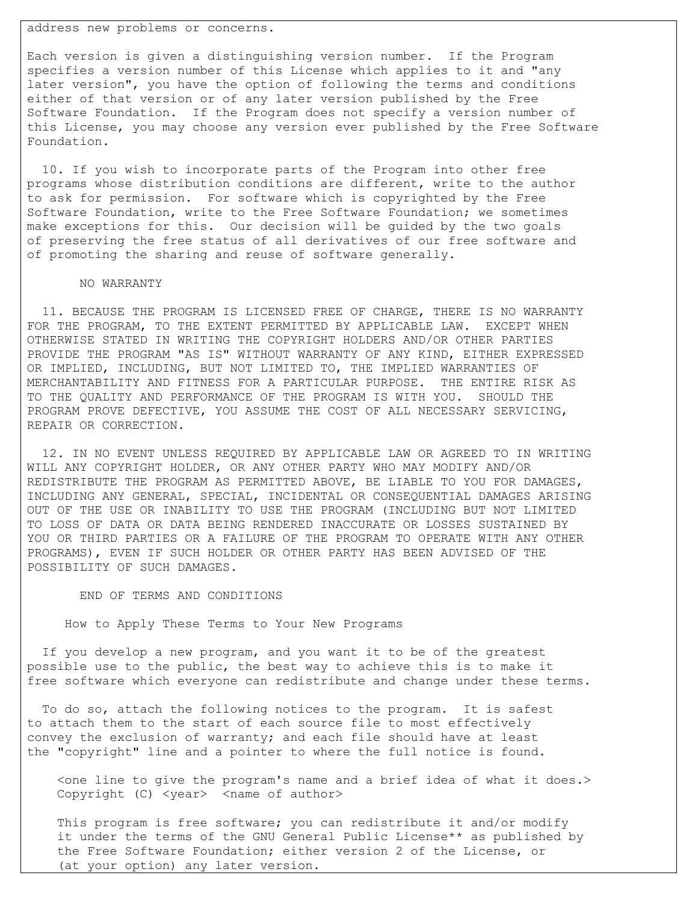address new problems or concerns.

Each version is given a distinguishing version number. If the Program specifies a version number of this License which applies to it and "any later version", you have the option of following the terms and conditions either of that version or of any later version published by the Free Software Foundation. If the Program does not specify a version number of this License, you may choose any version ever published by the Free Software Foundation.

 10. If you wish to incorporate parts of the Program into other free programs whose distribution conditions are different, write to the author to ask for permission. For software which is copyrighted by the Free Software Foundation, write to the Free Software Foundation; we sometimes make exceptions for this. Our decision will be guided by the two goals of preserving the free status of all derivatives of our free software and of promoting the sharing and reuse of software generally.

## NO WARRANTY

 11. BECAUSE THE PROGRAM IS LICENSED FREE OF CHARGE, THERE IS NO WARRANTY FOR THE PROGRAM, TO THE EXTENT PERMITTED BY APPLICABLE LAW. EXCEPT WHEN OTHERWISE STATED IN WRITING THE COPYRIGHT HOLDERS AND/OR OTHER PARTIES PROVIDE THE PROGRAM "AS IS" WITHOUT WARRANTY OF ANY KIND, EITHER EXPRESSED OR IMPLIED, INCLUDING, BUT NOT LIMITED TO, THE IMPLIED WARRANTIES OF MERCHANTABILITY AND FITNESS FOR A PARTICULAR PURPOSE. THE ENTIRE RISK AS TO THE QUALITY AND PERFORMANCE OF THE PROGRAM IS WITH YOU. SHOULD THE PROGRAM PROVE DEFECTIVE, YOU ASSUME THE COST OF ALL NECESSARY SERVICING, REPAIR OR CORRECTION.

 12. IN NO EVENT UNLESS REQUIRED BY APPLICABLE LAW OR AGREED TO IN WRITING WILL ANY COPYRIGHT HOLDER, OR ANY OTHER PARTY WHO MAY MODIFY AND/OR REDISTRIBUTE THE PROGRAM AS PERMITTED ABOVE, BE LIABLE TO YOU FOR DAMAGES, INCLUDING ANY GENERAL, SPECIAL, INCIDENTAL OR CONSEQUENTIAL DAMAGES ARISING OUT OF THE USE OR INABILITY TO USE THE PROGRAM (INCLUDING BUT NOT LIMITED TO LOSS OF DATA OR DATA BEING RENDERED INACCURATE OR LOSSES SUSTAINED BY YOU OR THIRD PARTIES OR A FAILURE OF THE PROGRAM TO OPERATE WITH ANY OTHER PROGRAMS), EVEN IF SUCH HOLDER OR OTHER PARTY HAS BEEN ADVISED OF THE POSSIBILITY OF SUCH DAMAGES.

## END OF TERMS AND CONDITIONS

How to Apply These Terms to Your New Programs

 If you develop a new program, and you want it to be of the greatest possible use to the public, the best way to achieve this is to make it free software which everyone can redistribute and change under these terms.

 To do so, attach the following notices to the program. It is safest to attach them to the start of each source file to most effectively convey the exclusion of warranty; and each file should have at least the "copyright" line and a pointer to where the full notice is found.

 <one line to give the program's name and a brief idea of what it does.> Copyright (C) <year> <name of author>

 This program is free software; you can redistribute it and/or modify it under the terms of the GNU General Public License\*\* as published by the Free Software Foundation; either version 2 of the License, or (at your option) any later version.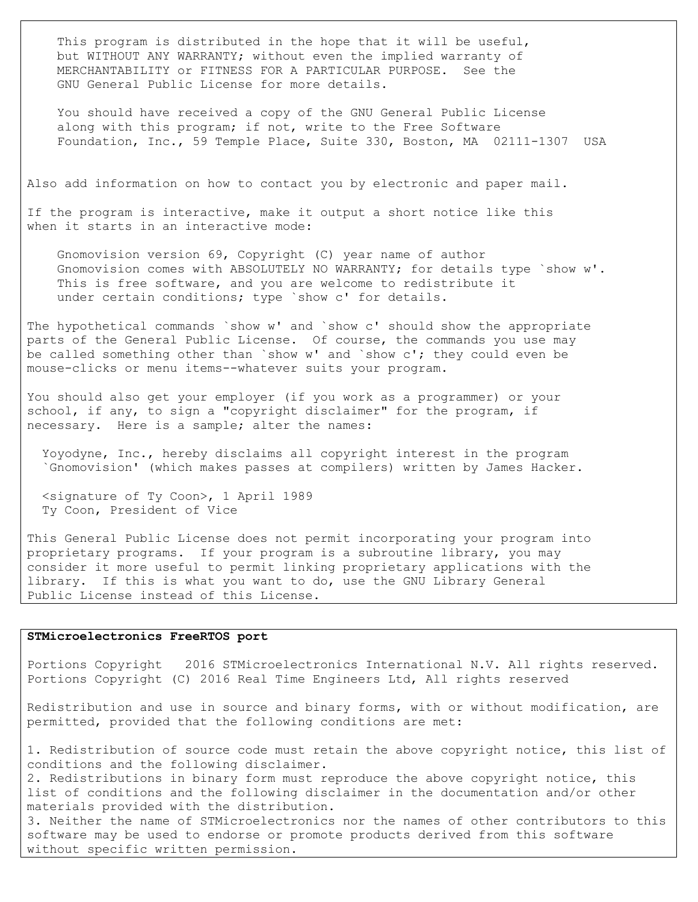This program is distributed in the hope that it will be useful, but WITHOUT ANY WARRANTY; without even the implied warranty of MERCHANTABILITY or FITNESS FOR A PARTICULAR PURPOSE. See the GNU General Public License for more details.

 You should have received a copy of the GNU General Public License along with this program; if not, write to the Free Software Foundation, Inc., 59 Temple Place, Suite 330, Boston, MA 02111-1307 USA

Also add information on how to contact you by electronic and paper mail.

If the program is interactive, make it output a short notice like this when it starts in an interactive mode:

 Gnomovision version 69, Copyright (C) year name of author Gnomovision comes with ABSOLUTELY NO WARRANTY; for details type `show w'. This is free software, and you are welcome to redistribute it under certain conditions; type `show c' for details.

The hypothetical commands `show w' and `show c' should show the appropriate parts of the General Public License. Of course, the commands you use may be called something other than `show w' and `show c'; they could even be mouse-clicks or menu items--whatever suits your program.

You should also get your employer (if you work as a programmer) or your school, if any, to sign a "copyright disclaimer" for the program, if necessary. Here is a sample; alter the names:

 Yoyodyne, Inc., hereby disclaims all copyright interest in the program `Gnomovision' (which makes passes at compilers) written by James Hacker.

 <signature of Ty Coon>, 1 April 1989 Ty Coon, President of Vice

This General Public License does not permit incorporating your program into proprietary programs. If your program is a subroutine library, you may consider it more useful to permit linking proprietary applications with the library. If this is what you want to do, use the GNU Library General Public License instead of this License.

## **STMicroelectronics FreeRTOS port**

Portions Copyright 2016 STMicroelectronics International N.V. All rights reserved. Portions Copyright (C) 2016 Real Time Engineers Ltd, All rights reserved

Redistribution and use in source and binary forms, with or without modification, are permitted, provided that the following conditions are met:

1. Redistribution of source code must retain the above copyright notice, this list of conditions and the following disclaimer.

2. Redistributions in binary form must reproduce the above copyright notice, this list of conditions and the following disclaimer in the documentation and/or other materials provided with the distribution.

3. Neither the name of STMicroelectronics nor the names of other contributors to this software may be used to endorse or promote products derived from this software without specific written permission.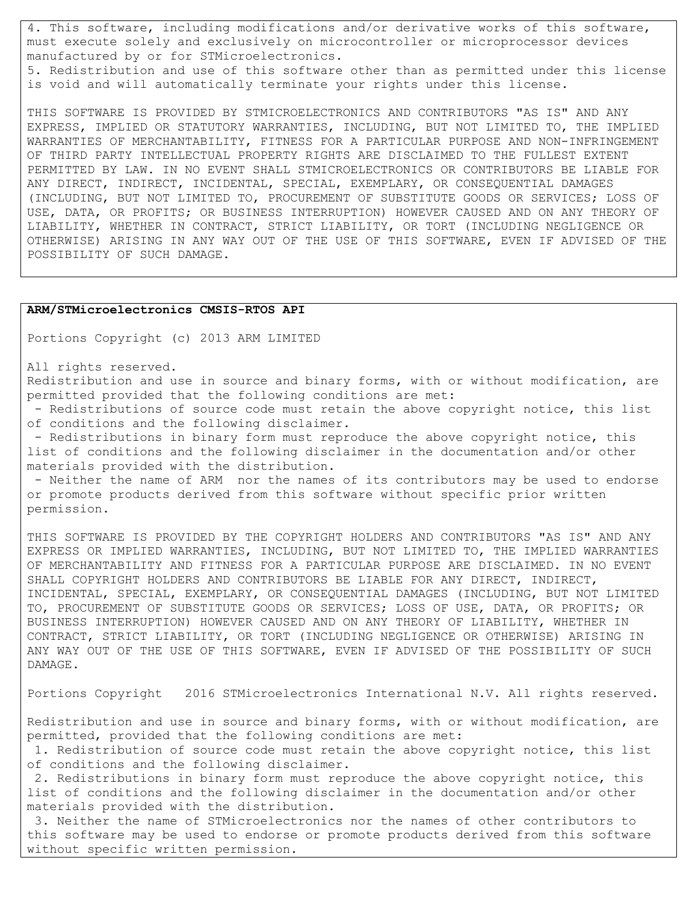4. This software, including modifications and/or derivative works of this software, must execute solely and exclusively on microcontroller or microprocessor devices manufactured by or for STMicroelectronics. 5. Redistribution and use of this software other than as permitted under this license

is void and will automatically terminate your rights under this license.

THIS SOFTWARE IS PROVIDED BY STMICROELECTRONICS AND CONTRIBUTORS "AS IS" AND ANY EXPRESS, IMPLIED OR STATUTORY WARRANTIES, INCLUDING, BUT NOT LIMITED TO, THE IMPLIED WARRANTIES OF MERCHANTABILITY, FITNESS FOR A PARTICULAR PURPOSE AND NON-INFRINGEMENT OF THIRD PARTY INTELLECTUAL PROPERTY RIGHTS ARE DISCLAIMED TO THE FULLEST EXTENT PERMITTED BY LAW. IN NO EVENT SHALL STMICROELECTRONICS OR CONTRIBUTORS BE LIABLE FOR ANY DIRECT, INDIRECT, INCIDENTAL, SPECIAL, EXEMPLARY, OR CONSEQUENTIAL DAMAGES (INCLUDING, BUT NOT LIMITED TO, PROCUREMENT OF SUBSTITUTE GOODS OR SERVICES; LOSS OF USE, DATA, OR PROFITS; OR BUSINESS INTERRUPTION) HOWEVER CAUSED AND ON ANY THEORY OF LIABILITY, WHETHER IN CONTRACT, STRICT LIABILITY, OR TORT (INCLUDING NEGLIGENCE OR OTHERWISE) ARISING IN ANY WAY OUT OF THE USE OF THIS SOFTWARE, EVEN IF ADVISED OF THE POSSIBILITY OF SUCH DAMAGE.

#### **ARM/STMicroelectronics CMSIS-RTOS API**

Portions Copyright (c) 2013 ARM LIMITED

All rights reserved.

Redistribution and use in source and binary forms, with or without modification, are permitted provided that the following conditions are met:

- Redistributions of source code must retain the above copyright notice, this list of conditions and the following disclaimer.

- Redistributions in binary form must reproduce the above copyright notice, this list of conditions and the following disclaimer in the documentation and/or other materials provided with the distribution.

- Neither the name of ARM nor the names of its contributors may be used to endorse or promote products derived from this software without specific prior written permission.

THIS SOFTWARE IS PROVIDED BY THE COPYRIGHT HOLDERS AND CONTRIBUTORS "AS IS" AND ANY EXPRESS OR IMPLIED WARRANTIES, INCLUDING, BUT NOT LIMITED TO, THE IMPLIED WARRANTIES OF MERCHANTABILITY AND FITNESS FOR A PARTICULAR PURPOSE ARE DISCLAIMED. IN NO EVENT SHALL COPYRIGHT HOLDERS AND CONTRIBUTORS BE LIABLE FOR ANY DIRECT, INDIRECT, INCIDENTAL, SPECIAL, EXEMPLARY, OR CONSEQUENTIAL DAMAGES (INCLUDING, BUT NOT LIMITED TO, PROCUREMENT OF SUBSTITUTE GOODS OR SERVICES; LOSS OF USE, DATA, OR PROFITS; OR BUSINESS INTERRUPTION) HOWEVER CAUSED AND ON ANY THEORY OF LIABILITY, WHETHER IN CONTRACT, STRICT LIABILITY, OR TORT (INCLUDING NEGLIGENCE OR OTHERWISE) ARISING IN ANY WAY OUT OF THE USE OF THIS SOFTWARE, EVEN IF ADVISED OF THE POSSIBILITY OF SUCH DAMAGE.

Portions Copyright 2016 STMicroelectronics International N.V. All rights reserved.

Redistribution and use in source and binary forms, with or without modification, are permitted, provided that the following conditions are met:

1. Redistribution of source code must retain the above copyright notice, this list of conditions and the following disclaimer.

2. Redistributions in binary form must reproduce the above copyright notice, this list of conditions and the following disclaimer in the documentation and/or other materials provided with the distribution.

3. Neither the name of STMicroelectronics nor the names of other contributors to this software may be used to endorse or promote products derived from this software without specific written permission.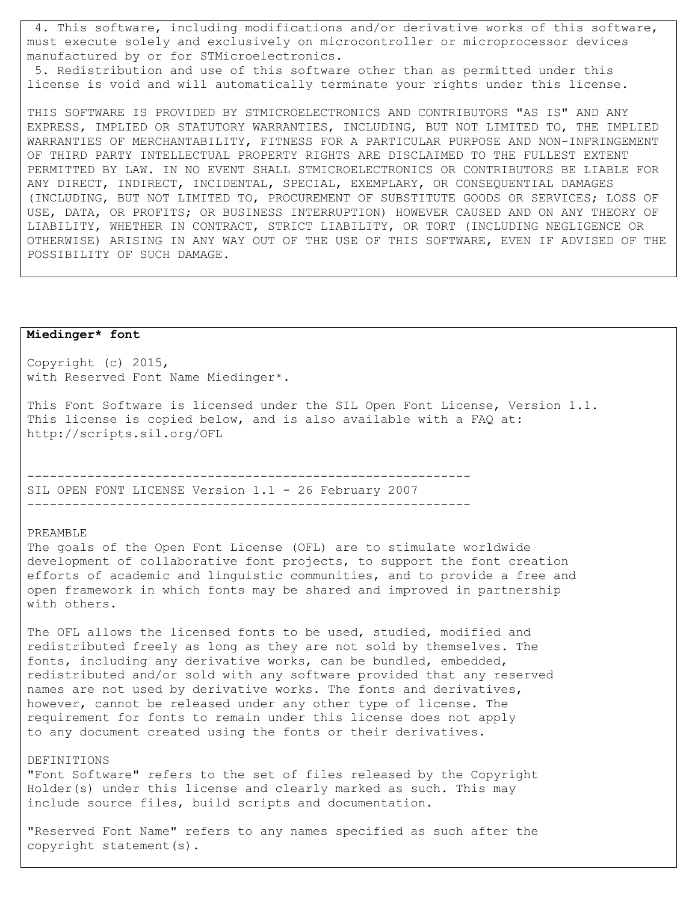4. This software, including modifications and/or derivative works of this software, must execute solely and exclusively on microcontroller or microprocessor devices manufactured by or for STMicroelectronics.

5. Redistribution and use of this software other than as permitted under this license is void and will automatically terminate your rights under this license.

THIS SOFTWARE IS PROVIDED BY STMICROELECTRONICS AND CONTRIBUTORS "AS IS" AND ANY EXPRESS, IMPLIED OR STATUTORY WARRANTIES, INCLUDING, BUT NOT LIMITED TO, THE IMPLIED WARRANTIES OF MERCHANTABILITY, FITNESS FOR A PARTICULAR PURPOSE AND NON-INFRINGEMENT OF THIRD PARTY INTELLECTUAL PROPERTY RIGHTS ARE DISCLAIMED TO THE FULLEST EXTENT PERMITTED BY LAW. IN NO EVENT SHALL STMICROELECTRONICS OR CONTRIBUTORS BE LIABLE FOR ANY DIRECT, INDIRECT, INCIDENTAL, SPECIAL, EXEMPLARY, OR CONSEQUENTIAL DAMAGES (INCLUDING, BUT NOT LIMITED TO, PROCUREMENT OF SUBSTITUTE GOODS OR SERVICES; LOSS OF USE, DATA, OR PROFITS; OR BUSINESS INTERRUPTION) HOWEVER CAUSED AND ON ANY THEORY OF LIABILITY, WHETHER IN CONTRACT, STRICT LIABILITY, OR TORT (INCLUDING NEGLIGENCE OR OTHERWISE) ARISING IN ANY WAY OUT OF THE USE OF THIS SOFTWARE, EVEN IF ADVISED OF THE POSSIBILITY OF SUCH DAMAGE.

# **Miedinger\* font**

Copyright (c) 2015, with Reserved Font Name Miedinger\*.

This Font Software is licensed under the SIL Open Font License, Version 1.1. This license is copied below, and is also available with a FAQ at: http://scripts.sil.org/OFL

----------------------------------------------------------- SIL OPEN FONT LICENSE Version 1.1 - 26 February 2007 -----------------------------------------------------------

## PREAMBLE

The goals of the Open Font License (OFL) are to stimulate worldwide development of collaborative font projects, to support the font creation efforts of academic and linguistic communities, and to provide a free and open framework in which fonts may be shared and improved in partnership with others.

The OFL allows the licensed fonts to be used, studied, modified and redistributed freely as long as they are not sold by themselves. The fonts, including any derivative works, can be bundled, embedded, redistributed and/or sold with any software provided that any reserved names are not used by derivative works. The fonts and derivatives, however, cannot be released under any other type of license. The requirement for fonts to remain under this license does not apply to any document created using the fonts or their derivatives.

## DEFINITIONS

"Font Software" refers to the set of files released by the Copyright Holder(s) under this license and clearly marked as such. This may include source files, build scripts and documentation.

"Reserved Font Name" refers to any names specified as such after the copyright statement(s).